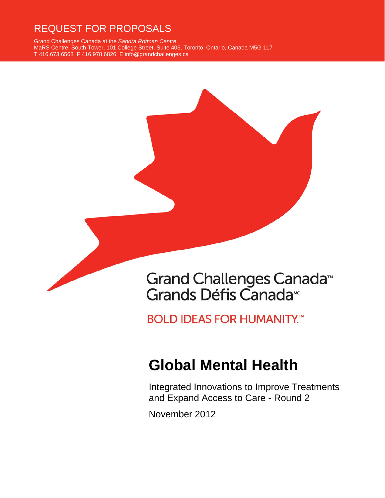# REQUEST FOR PROPOSALS

Grand Challenges Canada at the *Sandra Rotman Centre* MaRS Centre, South Tower, 101 College Street, Suite 406, Toronto, Ontario, Canada M5G 1L7 T 416.673.6568 F 416.978.6826 E info@grandchallenges.ca



**BOLD IDEAS FOR HUMANITY.™** 

# **Global Mental Health**

Integrated Innovations to Improve Treatments and Expand Access to Care - Round 2

November 2012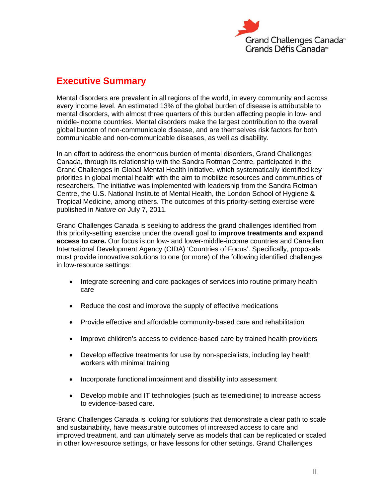

### **Executive Summary**

Mental disorders are prevalent in all regions of the world, in every community and across every income level. An estimated 13% of the global burden of disease is attributable to mental disorders, with almost three quarters of this burden affecting people in low- and middle-income countries. Mental disorders make the largest contribution to the overall global burden of non-communicable disease, and are themselves risk factors for both communicable and non-communicable diseases, as well as disability.

In an effort to address the enormous burden of mental disorders, Grand Challenges Canada, through its relationship with the Sandra Rotman Centre, participated in the Grand Challenges in Global Mental Health initiative, which systematically identified key priorities in global mental health with the aim to mobilize resources and communities of researchers. The initiative was implemented with leadership from the Sandra Rotman Centre, the U.S. National Institute of Mental Health, the London School of Hygiene & Tropical Medicine, among others. The outcomes of this priority-setting exercise were published in *Nature on* July 7, 2011.

Grand Challenges Canada is seeking to address the grand challenges identified from this priority-setting exercise under the overall goal to **improve treatments and expand access to care.** Our focus is on low- and lower-middle-income countries and Canadian International Development Agency (CIDA) 'Countries of Focus'. Specifically, proposals must provide innovative solutions to one (or more) of the following identified challenges in low-resource settings:

- Integrate screening and core packages of services into routine primary health care
- Reduce the cost and improve the supply of effective medications
- Provide effective and affordable community-based care and rehabilitation
- Improve children's access to evidence-based care by trained health providers
- Develop effective treatments for use by non-specialists, including lay health workers with minimal training
- Incorporate functional impairment and disability into assessment
- Develop mobile and IT technologies (such as telemedicine) to increase access to evidence-based care.

Grand Challenges Canada is looking for solutions that demonstrate a clear path to scale and sustainability, have measurable outcomes of increased access to care and improved treatment, and can ultimately serve as models that can be replicated or scaled in other low-resource settings, or have lessons for other settings. Grand Challenges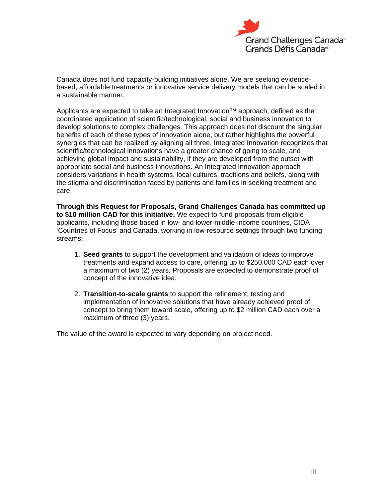

Canada does not fund capacity-building initiatives alone. We are seeking evidencebased, affordable treatments or innovative service delivery models that can be scaled in a sustainable manner.

Applicants are expected to take an Integrated Innovation™ approach, defined as the coordinated application of scientific/technological, social and business innovation to develop solutions to complex challenges. This approach does not discount the singular benefits of each of these types of innovation alone, but rather highlights the powerful synergies that can be realized by aligning all three. Integrated Innovation recognizes that scientific/technological innovations have a greater chance of going to scale, and achieving global impact and sustainability, if they are developed from the outset with appropriate social and business innovations. An Integrated Innovation approach considers variations in health systems, local cultures, traditions and beliefs, along with the stigma and discrimination faced by patients and families in seeking treatment and care.

**Through this Request for Proposals, Grand Challenges Canada has committed up to \$10 million CAD for this initiative.** We expect to fund proposals from eligible applicants, including those based in low- and lower-middle-income countries, CIDA 'Countries of Focus' and Canada, working in low-resource settings through two funding streams:

- 1. **Seed grants** to support the development and validation of ideas to improve treatments and expand access to care, offering up to \$250,000 CAD each over a maximum of two (2) years. Proposals are expected to demonstrate proof of concept of the innovative idea.
- 2. **Transition-to-scale grants** to support the refinement, testing and implementation of innovative solutions that have already achieved proof of concept to bring them toward scale, offering up to \$2 million CAD each over a maximum of three (3) years.

The value of the award is expected to vary depending on project need.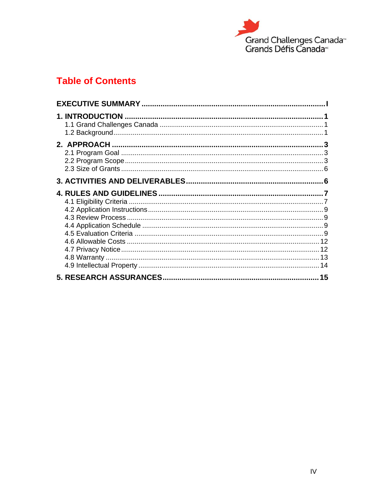

# **Table of Contents**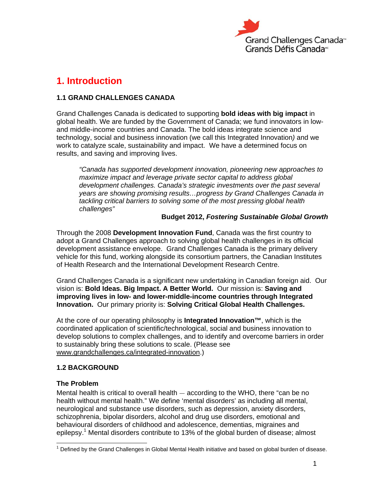

# **1. Introduction**

#### **1.1 GRAND CHALLENGES CANADA**

Grand Challenges Canada is dedicated to supporting **bold ideas with big impact** in global health. We are funded by the Government of Canada; we fund innovators in lowand middle-income countries and Canada. The bold ideas integrate science and technology, social and business innovation (we call this Integrated Innovation*)* and we work to catalyze scale, sustainability and impact. We have a determined focus on results, and saving and improving lives.

*"Canada has supported development innovation, pioneering new approaches to maximize impact and leverage private sector capital to address global development challenges. Canada's strategic investments over the past several years are showing promising results…progress by Grand Challenges Canada in tackling critical barriers to solving some of the most pressing global health challenges"* 

#### **Budget 2012,** *Fostering Sustainable Global Growth*

Through the 2008 **Development Innovation Fund**, Canada was the first country to adopt a Grand Challenges approach to solving global health challenges in its official development assistance envelope. Grand Challenges Canada is the primary delivery vehicle for this fund, working alongside its consortium partners, the Canadian Institutes of Health Research and the International Development Research Centre.

Grand Challenges Canada is a significant new undertaking in Canadian foreign aid. Our vision is: **Bold Ideas. Big Impact. A Better World.** Our mission is: **Saving and improving lives in low- and lower-middle-income countries through Integrated Innovation.** Our primary priority is: **Solving Critical Global Health Challenges.** 

At the core of our operating philosophy is **Integrated Innovation™**, which is the coordinated application of scientific/technological, social and business innovation to develop solutions to complex challenges, and to identify and overcome barriers in order to sustainably bring these solutions to scale. (Please see www.grandchallenges.ca/integrated-innovation.)

#### **1.2 BACKGROUND**

#### **The Problem**

Mental health is critical to overall health — according to the WHO, there "can be no health without mental health." We define 'mental disorders' as including all mental, neurological and substance use disorders, such as depression, anxiety disorders, schizophrenia, bipolar disorders, alcohol and drug use disorders, emotional and behavioural disorders of childhood and adolescence, dementias, migraines and epilepsy.<sup>1</sup> Mental disorders contribute to 13% of the global burden of disease; almost

 1 Defined by the Grand Challenges in Global Mental Health initiative and based on global burden of disease.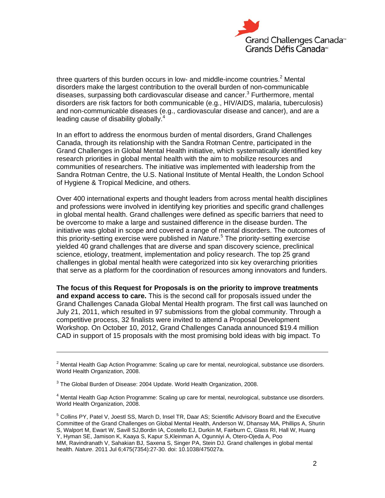

three quarters of this burden occurs in low- and middle-income countries.<sup>2</sup> Mental disorders make the largest contribution to the overall burden of non-communicable diseases, surpassing both cardiovascular disease and cancer.<sup>3</sup> Furthermore, mental disorders are risk factors for both communicable (e.g., HIV/AIDS, malaria, tuberculosis) and non-communicable diseases (e.g., cardiovascular disease and cancer), and are a leading cause of disability globally.<sup>4</sup>

In an effort to address the enormous burden of mental disorders, Grand Challenges Canada, through its relationship with the Sandra Rotman Centre, participated in the Grand Challenges in Global Mental Health initiative, which systematically identified key research priorities in global mental health with the aim to mobilize resources and communities of researchers. The initiative was implemented with leadership from the Sandra Rotman Centre, the U.S. National Institute of Mental Health, the London School of Hygiene & Tropical Medicine, and others.

Over 400 international experts and thought leaders from across mental health disciplines and professions were involved in identifying key priorities and specific grand challenges in global mental health. Grand challenges were defined as specific barriers that need to be overcome to make a large and sustained difference in the disease burden. The initiative was global in scope and covered a range of mental disorders. The outcomes of this priority-setting exercise were published in *Nature*. 5 The priority-setting exercise yielded 40 grand challenges that are diverse and span discovery science, preclinical science, etiology, treatment, implementation and policy research. The top 25 grand challenges in global mental health were categorized into six key overarching priorities that serve as a platform for the coordination of resources among innovators and funders.

**The focus of this Request for Proposals is on the priority to improve treatments and expand access to care.** This is the second call for proposals issued under the Grand Challenges Canada Global Mental Health program. The first call was launched on July 21, 2011, which resulted in 97 submissions from the global community. Through a competitive process, 32 finalists were invited to attend a Proposal Development Workshop. On October 10, 2012, Grand Challenges Canada announced \$19.4 million CAD in support of 15 proposals with the most promising bold ideas with big impact. To

-

 $2$  Mental Health Gap Action Programme: Scaling up care for mental, neurological, substance use disorders. World Health Organization, 2008.

 $^3$  The Global Burden of Disease: 2004 Update. World Health Organization, 2008.

<sup>&</sup>lt;sup>4</sup> Mental Health Gap Action Programme: Scaling up care for mental, neurological, substance use disorders. World Health Organization, 2008.

<sup>5</sup> Collins PY, Patel V, Joestl SS, March D, Insel TR, Daar AS; Scientific Advisory Board and the Executive Committee of the Grand Challenges on Global Mental Health, Anderson W, Dhansay MA, Phillips A, Shurin S, Walport M, Ewart W, Savill SJ,Bordin IA, Costello EJ, Durkin M, Fairburn C, Glass RI, Hall W, Huang Y, Hyman SE, Jamison K, Kaaya S, Kapur S,Kleinman A, Ogunniyi A, Otero-Ojeda A, Poo MM, Ravindranath V, Sahakian BJ, Saxena S, Singer PA, Stein DJ. Grand challenges in global mental health. *Nature*. 2011 Jul 6;475(7354):27-30. doi: 10.1038/475027a.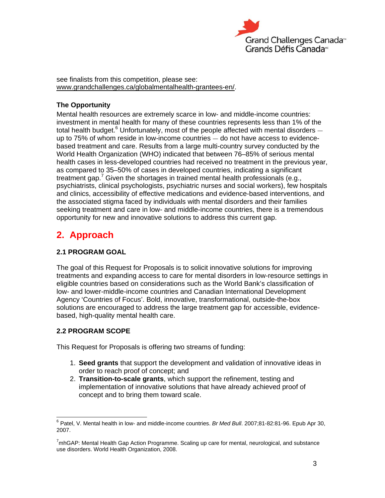

see finalists from this competition, please see: www.grandchallenges.ca/globalmentalhealth-grantees-en/.

#### **The Opportunity**

Mental health resources are extremely scarce in low- and middle-income countries: investment in mental health for many of these countries represents less than 1% of the total health budget. $6$  Unfortunately, most of the people affected with mental disorders  $$ up to 75% of whom reside in low-income countries — do not have access to evidencebased treatment and care. Results from a large multi-country survey conducted by the World Health Organization (WHO) indicated that between 76–85% of serious mental health cases in less-developed countries had received no treatment in the previous year, as compared to 35–50% of cases in developed countries, indicating a significant treatment gap.<sup>7</sup> Given the shortages in trained mental health professionals (e.g., psychiatrists, clinical psychologists, psychiatric nurses and social workers), few hospitals and clinics, accessibility of effective medications and evidence-based interventions, and the associated stigma faced by individuals with mental disorders and their families seeking treatment and care in low- and middle-income countries, there is a tremendous opportunity for new and innovative solutions to address this current gap.

### **2. Approach**

#### **2.1 PROGRAM GOAL**

The goal of this Request for Proposals is to solicit innovative solutions for improving treatments and expanding access to care for mental disorders in low-resource settings in eligible countries based on considerations such as the World Bank's classification of low- and lower-middle-income countries and Canadian International Development Agency 'Countries of Focus'. Bold, innovative, transformational, outside-the-box solutions are encouraged to address the large treatment gap for accessible, evidencebased, high-quality mental health care.

#### **2.2 PROGRAM SCOPE**

This Request for Proposals is offering two streams of funding:

- 1. **Seed grants** that support the development and validation of innovative ideas in order to reach proof of concept; and
- 2. **Transition-to-scale grants**, which support the refinement, testing and implementation of innovative solutions that have already achieved proof of concept and to bring them toward scale.

 6 Patel, V. Mental health in low- and middle-income countries. *Br Med Bull*. 2007;81-82:81-96. Epub Apr 30, 2007.

 $^7$ mhGAP: Mental Health Gap Action Programme. Scaling up care for mental, neurological, and substance use disorders. World Health Organization, 2008.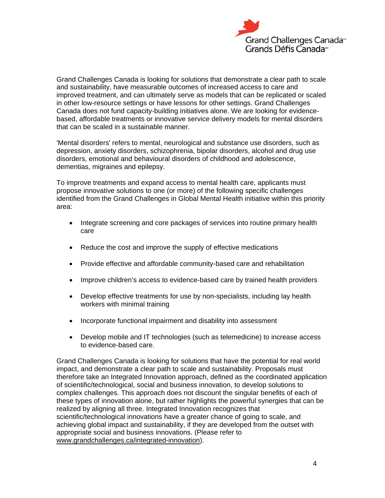

Grand Challenges Canada is looking for solutions that demonstrate a clear path to scale and sustainability, have measurable outcomes of increased access to care and improved treatment, and can ultimately serve as models that can be replicated or scaled in other low-resource settings or have lessons for other settings. Grand Challenges Canada does not fund capacity-building initiatives alone. We are looking for evidencebased, affordable treatments or innovative service delivery models for mental disorders that can be scaled in a sustainable manner.

'Mental disorders' refers to mental, neurological and substance use disorders, such as depression, anxiety disorders, schizophrenia, bipolar disorders, alcohol and drug use disorders, emotional and behavioural disorders of childhood and adolescence, dementias, migraines and epilepsy.

To improve treatments and expand access to mental health care, applicants must propose innovative solutions to one (or more) of the following specific challenges identified from the Grand Challenges in Global Mental Health initiative within this priority area:

- Integrate screening and core packages of services into routine primary health care
- Reduce the cost and improve the supply of effective medications
- Provide effective and affordable community-based care and rehabilitation
- Improve children's access to evidence-based care by trained health providers
- Develop effective treatments for use by non-specialists, including lay health workers with minimal training
- Incorporate functional impairment and disability into assessment
- Develop mobile and IT technologies (such as telemedicine) to increase access to evidence-based care.

Grand Challenges Canada is looking for solutions that have the potential for real world impact, and demonstrate a clear path to scale and sustainability. Proposals must therefore take an Integrated Innovation approach, defined as the coordinated application of scientific/technological, social and business innovation, to develop solutions to complex challenges. This approach does not discount the singular benefits of each of these types of innovation alone, but rather highlights the powerful synergies that can be realized by aligning all three. Integrated Innovation recognizes that scientific/technological innovations have a greater chance of going to scale, and achieving global impact and sustainability, if they are developed from the outset with appropriate social and business innovations. (Please refer to www.grandchallenges.ca/integrated-innovation).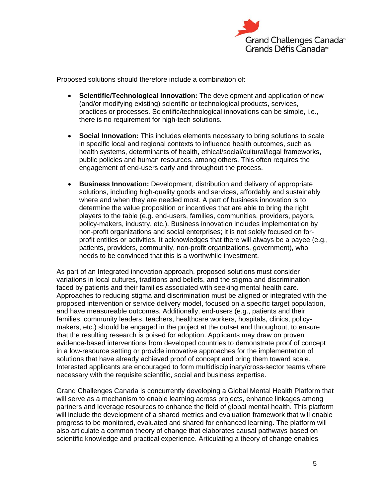

Proposed solutions should therefore include a combination of:

- **Scientific/Technological Innovation:** The development and application of new (and/or modifying existing) scientific or technological products, services, practices or processes. Scientific/technological innovations can be simple, i.e., there is no requirement for high-tech solutions.
- **Social Innovation:** This includes elements necessary to bring solutions to scale in specific local and regional contexts to influence health outcomes, such as health systems, determinants of health, ethical/social/cultural/legal frameworks, public policies and human resources, among others. This often requires the engagement of end-users early and throughout the process.
- **Business Innovation:** Development, distribution and delivery of appropriate solutions, including high-quality goods and services, affordably and sustainably where and when they are needed most. A part of business innovation is to determine the value proposition or incentives that are able to bring the right players to the table (e.g. end-users, families, communities, providers, payors, policy-makers, industry, etc.). Business innovation includes implementation by non-profit organizations and social enterprises; it is not solely focused on forprofit entities or activities. It acknowledges that there will always be a payee (e.g., patients, providers, community, non-profit organizations, government), who needs to be convinced that this is a worthwhile investment.

As part of an Integrated innovation approach, proposed solutions must consider variations in local cultures, traditions and beliefs, and the stigma and discrimination faced by patients and their families associated with seeking mental health care. Approaches to reducing stigma and discrimination must be aligned or integrated with the proposed intervention or service delivery model, focused on a specific target population, and have measureable outcomes. Additionally, end-users (e.g., patients and their families, community leaders, teachers, healthcare workers, hospitals, clinics, policymakers, etc.) should be engaged in the project at the outset and throughout, to ensure that the resulting research is poised for adoption. Applicants may draw on proven evidence-based interventions from developed countries to demonstrate proof of concept in a low-resource setting or provide innovative approaches for the implementation of solutions that have already achieved proof of concept and bring them toward scale. Interested applicants are encouraged to form multidisciplinary/cross-sector teams where necessary with the requisite scientific, social and business expertise.

Grand Challenges Canada is concurrently developing a Global Mental Health Platform that will serve as a mechanism to enable learning across projects, enhance linkages among partners and leverage resources to enhance the field of global mental health. This platform will include the development of a shared metrics and evaluation framework that will enable progress to be monitored, evaluated and shared for enhanced learning. The platform will also articulate a common theory of change that elaborates causal pathways based on scientific knowledge and practical experience. Articulating a theory of change enables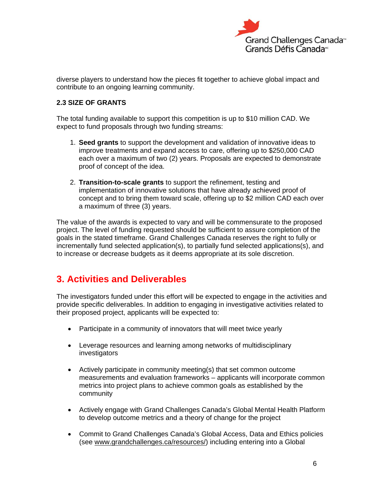

diverse players to understand how the pieces fit together to achieve global impact and contribute to an ongoing learning community.

#### **2.3 SIZE OF GRANTS**

The total funding available to support this competition is up to \$10 million CAD. We expect to fund proposals through two funding streams:

- 1. **Seed grants** to support the development and validation of innovative ideas to improve treatments and expand access to care, offering up to \$250,000 CAD each over a maximum of two (2) years. Proposals are expected to demonstrate proof of concept of the idea.
- 2. **Transition-to-scale grants** to support the refinement, testing and implementation of innovative solutions that have already achieved proof of concept and to bring them toward scale, offering up to \$2 million CAD each over a maximum of three (3) years.

The value of the awards is expected to vary and will be commensurate to the proposed project. The level of funding requested should be sufficient to assure completion of the goals in the stated timeframe. Grand Challenges Canada reserves the right to fully or incrementally fund selected application(s), to partially fund selected applications(s), and to increase or decrease budgets as it deems appropriate at its sole discretion.

### **3. Activities and Deliverables**

The investigators funded under this effort will be expected to engage in the activities and provide specific deliverables. In addition to engaging in investigative activities related to their proposed project, applicants will be expected to:

- Participate in a community of innovators that will meet twice yearly
- Leverage resources and learning among networks of multidisciplinary investigators
- Actively participate in community meeting(s) that set common outcome measurements and evaluation frameworks – applicants will incorporate common metrics into project plans to achieve common goals as established by the community
- Actively engage with Grand Challenges Canada's Global Mental Health Platform to develop outcome metrics and a theory of change for the project
- Commit to Grand Challenges Canada's Global Access, Data and Ethics policies (see www.grandchallenges.ca/resources/) including entering into a Global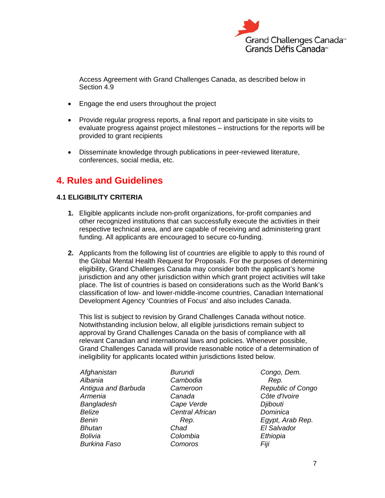

Access Agreement with Grand Challenges Canada, as described below in Section 4.9

- **Engage the end users throughout the project**
- Provide regular progress reports, a final report and participate in site visits to evaluate progress against project milestones – instructions for the reports will be provided to grant recipients
- Disseminate knowledge through publications in peer-reviewed literature, conferences, social media, etc.

# **4. Rules and Guidelines**

#### **4.1 ELIGIBILITY CRITERIA**

- **1.** Eligible applicants include non-profit organizations, for-profit companies and other recognized institutions that can successfully execute the activities in their respective technical area, and are capable of receiving and administering grant funding. All applicants are encouraged to secure co-funding.
- **2.** Applicants from the following list of countries are eligible to apply to this round of the Global Mental Health Request for Proposals. For the purposes of determining eligibility, Grand Challenges Canada may consider both the applicant's home jurisdiction and any other jurisdiction within which grant project activities will take place. The list of countries is based on considerations such as the World Bank's classification of low- and lower-middle-income countries, Canadian International Development Agency 'Countries of Focus' and also includes Canada.

This list is subject to revision by Grand Challenges Canada without notice. Notwithstanding inclusion below, all eligible jurisdictions remain subject to approval by Grand Challenges Canada on the basis of compliance with all relevant Canadian and international laws and policies. Whenever possible, Grand Challenges Canada will provide reasonable notice of a determination of ineligibility for applicants located within jurisdictions listed below.

| Afghanistan         |  |
|---------------------|--|
| Albania             |  |
| Antigua and Barbuda |  |
| Armenia             |  |
| Bangladesh          |  |
| Belize              |  |
| Benin               |  |
| Bhutan              |  |
| Bolivia             |  |
| <b>Burkina Faso</b> |  |

*Burundi Cambodia Cameroon Canada Cape Verde Central African Rep. Chad Colombia Comoros* 

*Congo, Dem. Rep. Republic of Congo Côte d'Ivoire Djibouti Dominica Egypt, Arab Rep. El Salvador Ethiopia Fiji*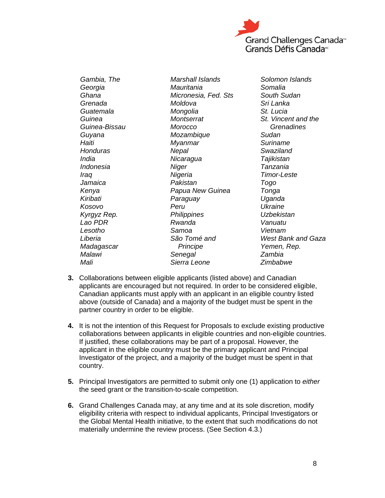

*Gambia, The Georgia Ghana Grenada Guatemala Guinea Guinea-Bissau Guyana Haiti Honduras India Indonesia Iraq Jamaica Kenya Kiribati Kosovo Kyrgyz Rep. Lao PDR Lesotho Liberia Madagascar Malawi Mali* 

*Marshall Islands Mauritania Micronesia, Fed. Sts Moldova Mongolia Montserrat Morocco Mozambique Myanmar Nepal Nicaragua Niger Nigeria Pakistan Papua New Guinea Paraguay Peru Philippines Rwanda Samoa São Tomé and Principe Senegal Sierra Leone* 

*Solomon Islands Somalia South Sudan Sri Lanka St. Lucia St. Vincent and the Grenadines Sudan Suriname Swaziland Tajikistan Tanzania Timor-Leste Togo Tonga Uganda Ukraine Uzbekistan Vanuatu Vietnam West Bank and Gaza Yemen, Rep. Zambia Zimbabwe*

- **3.** Collaborations between eligible applicants (listed above) and Canadian applicants are encouraged but not required. In order to be considered eligible, Canadian applicants must apply with an applicant in an eligible country listed above (outside of Canada) and a majority of the budget must be spent in the partner country in order to be eligible.
- **4.** It is not the intention of this Request for Proposals to exclude existing productive collaborations between applicants in eligible countries and non-eligible countries. If justified, these collaborations may be part of a proposal. However, the applicant in the eligible country must be the primary applicant and Principal Investigator of the project, and a majority of the budget must be spent in that country.
- **5.** Principal Investigators are permitted to submit only one (1) application to *either* the seed grant or the transition-to-scale competition.
- **6.** Grand Challenges Canada may, at any time and at its sole discretion, modify eligibility criteria with respect to individual applicants, Principal Investigators or the Global Mental Health initiative, to the extent that such modifications do not materially undermine the review process. (See Section 4.3.)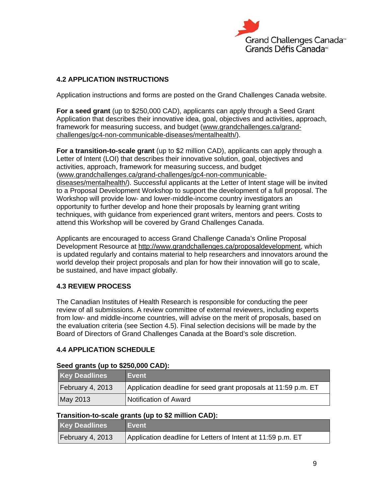

#### **4.2 APPLICATION INSTRUCTIONS**

Application instructions and forms are posted on the Grand Challenges Canada website.

**For a seed grant** (up to \$250,000 CAD), applicants can apply through a Seed Grant Application that describes their innovative idea, goal, objectives and activities, approach, framework for measuring success, and budget (www.grandchallenges.ca/grandchallenges/gc4-non-communicable-diseases/mentalhealth/).

**For a transition-to-scale grant** (up to \$2 million CAD), applicants can apply through a Letter of Intent (LOI) that describes their innovative solution, goal, objectives and activities, approach, framework for measuring success, and budget (www.grandchallenges.ca/grand-challenges/gc4-non-communicablediseases/mentalhealth/). Successful applicants at the Letter of Intent stage will be invited to a Proposal Development Workshop to support the development of a full proposal. The Workshop will provide low- and lower-middle-income country investigators an opportunity to further develop and hone their proposals by learning grant writing techniques, with guidance from experienced grant writers, mentors and peers. Costs to attend this Workshop will be covered by Grand Challenges Canada.

Applicants are encouraged to access Grand Challenge Canada's Online Proposal Development Resource at http://www.grandchallenges.ca/proposaldevelopment, which is updated regularly and contains material to help researchers and innovators around the world develop their project proposals and plan for how their innovation will go to scale, be sustained, and have impact globally.

#### **4.3 REVIEW PROCESS**

The Canadian Institutes of Health Research is responsible for conducting the peer review of all submissions. A review committee of external reviewers, including experts from low- and middle-income countries, will advise on the merit of proposals, based on the evaluation criteria (see Section 4.5). Final selection decisions will be made by the Board of Directors of Grand Challenges Canada at the Board's sole discretion.

#### **4.4 APPLICATION SCHEDULE**

#### **Seed grants (up to \$250,000 CAD):**

| <b>Key Deadlines</b> | <b>Event</b>                                                   |
|----------------------|----------------------------------------------------------------|
| February 4, 2013     | Application deadline for seed grant proposals at 11:59 p.m. ET |
| May 2013             | Notification of Award                                          |

#### **Transition-to-scale grants (up to \$2 million CAD):**

| <b>Key Deadlines</b> | Event                                                       |
|----------------------|-------------------------------------------------------------|
| February 4, 2013     | Application deadline for Letters of Intent at 11:59 p.m. ET |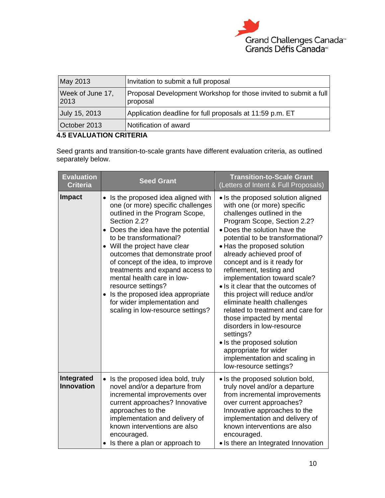

| May 2013                 | Invitation to submit a full proposal                                         |
|--------------------------|------------------------------------------------------------------------------|
| Week of June 17,<br>2013 | Proposal Development Workshop for those invited to submit a full<br>proposal |
| July 15, 2013            | Application deadline for full proposals at 11:59 p.m. ET                     |
| October 2013             | Notification of award                                                        |

#### **4.5 EVALUATION CRITERIA**

Seed grants and transition-to-scale grants have different evaluation criteria, as outlined separately below.

| <b>Evaluation</b><br><b>Criteria</b> | <b>Seed Grant</b>                                                                                                                                                                                                                                                                                                                                                                                                                                                                                   | <b>Transition-to-Scale Grant</b><br>(Letters of Intent & Full Proposals)                                                                                                                                                                                                                                                                                                                                                                                                                                                                                                                                                                                                                       |
|--------------------------------------|-----------------------------------------------------------------------------------------------------------------------------------------------------------------------------------------------------------------------------------------------------------------------------------------------------------------------------------------------------------------------------------------------------------------------------------------------------------------------------------------------------|------------------------------------------------------------------------------------------------------------------------------------------------------------------------------------------------------------------------------------------------------------------------------------------------------------------------------------------------------------------------------------------------------------------------------------------------------------------------------------------------------------------------------------------------------------------------------------------------------------------------------------------------------------------------------------------------|
| <b>Impact</b>                        | Is the proposed idea aligned with<br>one (or more) specific challenges<br>outlined in the Program Scope,<br>Section 2.2?<br>• Does the idea have the potential<br>to be transformational?<br>• Will the project have clear<br>outcomes that demonstrate proof<br>of concept of the idea, to improve<br>treatments and expand access to<br>mental health care in low-<br>resource settings?<br>Is the proposed idea appropriate<br>for wider implementation and<br>scaling in low-resource settings? | • Is the proposed solution aligned<br>with one (or more) specific<br>challenges outlined in the<br>Program Scope, Section 2.2?<br>• Does the solution have the<br>potential to be transformational?<br>• Has the proposed solution<br>already achieved proof of<br>concept and is it ready for<br>refinement, testing and<br>implementation toward scale?<br>• Is it clear that the outcomes of<br>this project will reduce and/or<br>eliminate health challenges<br>related to treatment and care for<br>those impacted by mental<br>disorders in low-resource<br>settings?<br>• Is the proposed solution<br>appropriate for wider<br>implementation and scaling in<br>low-resource settings? |
| Integrated<br><b>Innovation</b>      | Is the proposed idea bold, truly<br>$\bullet$<br>novel and/or a departure from<br>incremental improvements over<br>current approaches? Innovative<br>approaches to the<br>implementation and delivery of<br>known interventions are also<br>encouraged.<br>• Is there a plan or approach to                                                                                                                                                                                                         | • Is the proposed solution bold,<br>truly novel and/or a departure<br>from incremental improvements<br>over current approaches?<br>Innovative approaches to the<br>implementation and delivery of<br>known interventions are also<br>encouraged.<br>• Is there an Integrated Innovation                                                                                                                                                                                                                                                                                                                                                                                                        |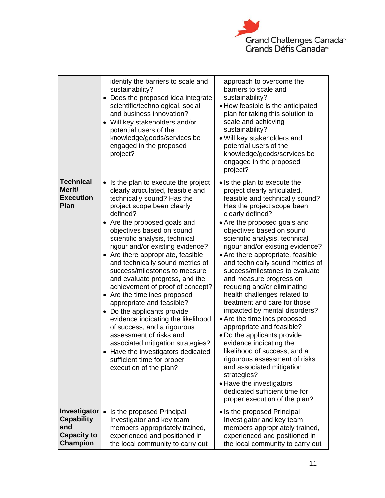

|                                                                            | identify the barriers to scale and<br>sustainability?<br>Does the proposed idea integrate<br>٠<br>scientific/technological, social<br>and business innovation?<br>• Will key stakeholders and/or<br>potential users of the<br>knowledge/goods/services be<br>engaged in the proposed<br>project?                                                                                                                                                                                                                                                                                                                                                                                                                                                                                                    | approach to overcome the<br>barriers to scale and<br>sustainability?<br>• How feasible is the anticipated<br>plan for taking this solution to<br>scale and achieving<br>sustainability?<br>. Will key stakeholders and<br>potential users of the<br>knowledge/goods/services be<br>engaged in the proposed<br>project?                                                                                                                                                                                                                                                                                                                                                                                                                                                                                                                                                                       |
|----------------------------------------------------------------------------|-----------------------------------------------------------------------------------------------------------------------------------------------------------------------------------------------------------------------------------------------------------------------------------------------------------------------------------------------------------------------------------------------------------------------------------------------------------------------------------------------------------------------------------------------------------------------------------------------------------------------------------------------------------------------------------------------------------------------------------------------------------------------------------------------------|----------------------------------------------------------------------------------------------------------------------------------------------------------------------------------------------------------------------------------------------------------------------------------------------------------------------------------------------------------------------------------------------------------------------------------------------------------------------------------------------------------------------------------------------------------------------------------------------------------------------------------------------------------------------------------------------------------------------------------------------------------------------------------------------------------------------------------------------------------------------------------------------|
| <b>Technical</b><br>Merit/<br><b>Execution</b><br><b>Plan</b>              | • Is the plan to execute the project<br>clearly articulated, feasible and<br>technically sound? Has the<br>project scope been clearly<br>defined?<br>• Are the proposed goals and<br>objectives based on sound<br>scientific analysis, technical<br>rigour and/or existing evidence?<br>• Are there appropriate, feasible<br>and technically sound metrics of<br>success/milestones to measure<br>and evaluate progress, and the<br>achievement of proof of concept?<br>• Are the timelines proposed<br>appropriate and feasible?<br>• Do the applicants provide<br>evidence indicating the likelihood<br>of success, and a rigourous<br>assessment of risks and<br>associated mitigation strategies?<br>• Have the investigators dedicated<br>sufficient time for proper<br>execution of the plan? | • Is the plan to execute the<br>project clearly articulated,<br>feasible and technically sound?<br>Has the project scope been<br>clearly defined?<br>• Are the proposed goals and<br>objectives based on sound<br>scientific analysis, technical<br>rigour and/or existing evidence?<br>• Are there appropriate, feasible<br>and technically sound metrics of<br>success/milestones to evaluate<br>and measure progress on<br>reducing and/or eliminating<br>health challenges related to<br>treatment and care for those<br>impacted by mental disorders?<br>• Are the timelines proposed<br>appropriate and feasible?<br>• Do the applicants provide<br>evidence indicating the<br>likelihood of success, and a<br>rigourous assessment of risks<br>and associated mitigation<br>strategies?<br>• Have the investigators<br>dedicated sufficient time for<br>proper execution of the plan? |
| Investigator<br><b>Capability</b><br>and<br><b>Capacity to</b><br>Champion | Is the proposed Principal<br>$\bullet$<br>Investigator and key team<br>members appropriately trained,<br>experienced and positioned in<br>the local community to carry out                                                                                                                                                                                                                                                                                                                                                                                                                                                                                                                                                                                                                          | • Is the proposed Principal<br>Investigator and key team<br>members appropriately trained,<br>experienced and positioned in<br>the local community to carry out                                                                                                                                                                                                                                                                                                                                                                                                                                                                                                                                                                                                                                                                                                                              |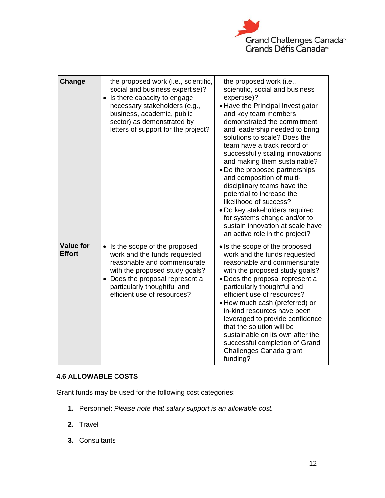

| Change                            | the proposed work (i.e., scientific,<br>social and business expertise)?<br>• Is there capacity to engage<br>necessary stakeholders (e.g.,<br>business, academic, public<br>sector) as demonstrated by<br>letters of support for the project? | the proposed work (i.e.,<br>scientific, social and business<br>expertise)?<br>• Have the Principal Investigator<br>and key team members<br>demonstrated the commitment<br>and leadership needed to bring<br>solutions to scale? Does the<br>team have a track record of<br>successfully scaling innovations<br>and making them sustainable?<br>• Do the proposed partnerships<br>and composition of multi-<br>disciplinary teams have the<br>potential to increase the<br>likelihood of success?<br>• Do key stakeholders required<br>for systems change and/or to<br>sustain innovation at scale have<br>an active role in the project? |
|-----------------------------------|----------------------------------------------------------------------------------------------------------------------------------------------------------------------------------------------------------------------------------------------|------------------------------------------------------------------------------------------------------------------------------------------------------------------------------------------------------------------------------------------------------------------------------------------------------------------------------------------------------------------------------------------------------------------------------------------------------------------------------------------------------------------------------------------------------------------------------------------------------------------------------------------|
| <b>Value for</b><br><b>Effort</b> | • Is the scope of the proposed<br>work and the funds requested<br>reasonable and commensurate<br>with the proposed study goals?<br>• Does the proposal represent a<br>particularly thoughtful and<br>efficient use of resources?             | • Is the scope of the proposed<br>work and the funds requested<br>reasonable and commensurate<br>with the proposed study goals?<br>• Does the proposal represent a<br>particularly thoughtful and<br>efficient use of resources?<br>• How much cash (preferred) or<br>in-kind resources have been<br>leveraged to provide confidence<br>that the solution will be<br>sustainable on its own after the<br>successful completion of Grand<br>Challenges Canada grant<br>funding?                                                                                                                                                           |

#### **4.6 ALLOWABLE COSTS**

Grant funds may be used for the following cost categories:

- **1.** Personnel: *Please note that salary support is an allowable cost.*
- **2.** Travel
- **3.** Consultants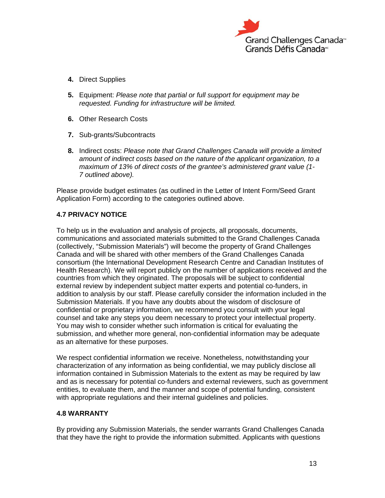

- **4.** Direct Supplies
- **5.** Equipment: *Please note that partial or full support for equipment may be requested. Funding for infrastructure will be limited.*
- **6.** Other Research Costs
- **7.** Sub-grants/Subcontracts
- **8.** Indirect costs: *Please note that Grand Challenges Canada will provide a limited amount of indirect costs based on the nature of the applicant organization, to a maximum of 13% of direct costs of the grantee's administered grant value (1- 7 outlined above).*

Please provide budget estimates (as outlined in the Letter of Intent Form/Seed Grant Application Form) according to the categories outlined above.

#### **4.7 PRIVACY NOTICE**

To help us in the evaluation and analysis of projects, all proposals, documents, communications and associated materials submitted to the Grand Challenges Canada (collectively, "Submission Materials") will become the property of Grand Challenges Canada and will be shared with other members of the Grand Challenges Canada consortium (the International Development Research Centre and Canadian Institutes of Health Research). We will report publicly on the number of applications received and the countries from which they originated. The proposals will be subject to confidential external review by independent subject matter experts and potential co-funders, in addition to analysis by our staff. Please carefully consider the information included in the Submission Materials. If you have any doubts about the wisdom of disclosure of confidential or proprietary information, we recommend you consult with your legal counsel and take any steps you deem necessary to protect your intellectual property. You may wish to consider whether such information is critical for evaluating the submission, and whether more general, non-confidential information may be adequate as an alternative for these purposes.

We respect confidential information we receive. Nonetheless, notwithstanding your characterization of any information as being confidential, we may publicly disclose all information contained in Submission Materials to the extent as may be required by law and as is necessary for potential co-funders and external reviewers, such as government entities, to evaluate them, and the manner and scope of potential funding, consistent with appropriate regulations and their internal guidelines and policies.

#### **4.8 WARRANTY**

By providing any Submission Materials, the sender warrants Grand Challenges Canada that they have the right to provide the information submitted. Applicants with questions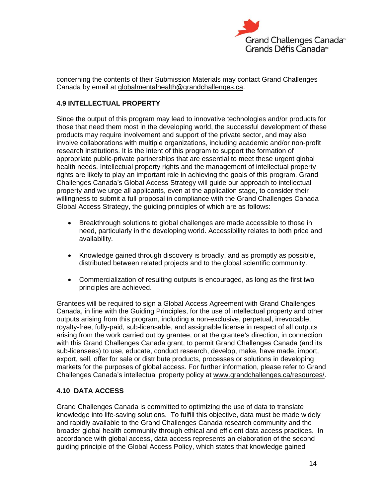

concerning the contents of their Submission Materials may contact Grand Challenges Canada by email at globalmentalhealth@grandchallenges.ca.

#### **4.9 INTELLECTUAL PROPERTY**

Since the output of this program may lead to innovative technologies and/or products for those that need them most in the developing world, the successful development of these products may require involvement and support of the private sector, and may also involve collaborations with multiple organizations, including academic and/or non-profit research institutions. It is the intent of this program to support the formation of appropriate public-private partnerships that are essential to meet these urgent global health needs. Intellectual property rights and the management of intellectual property rights are likely to play an important role in achieving the goals of this program. Grand Challenges Canada's Global Access Strategy will guide our approach to intellectual property and we urge all applicants, even at the application stage, to consider their willingness to submit a full proposal in compliance with the Grand Challenges Canada Global Access Strategy, the guiding principles of which are as follows:

- Breakthrough solutions to global challenges are made accessible to those in need, particularly in the developing world. Accessibility relates to both price and availability.
- Knowledge gained through discovery is broadly, and as promptly as possible, distributed between related projects and to the global scientific community.
- Commercialization of resulting outputs is encouraged, as long as the first two principles are achieved.

Grantees will be required to sign a Global Access Agreement with Grand Challenges Canada, in line with the Guiding Principles, for the use of intellectual property and other outputs arising from this program, including a non-exclusive, perpetual, irrevocable, royalty-free, fully-paid, sub-licensable, and assignable license in respect of all outputs arising from the work carried out by grantee, or at the grantee's direction, in connection with this Grand Challenges Canada grant, to permit Grand Challenges Canada (and its sub-licensees) to use, educate, conduct research, develop, make, have made, import, export, sell, offer for sale or distribute products, processes or solutions in developing markets for the purposes of global access. For further information, please refer to Grand Challenges Canada's intellectual property policy at www.grandchallenges.ca/resources/.

#### **4.10 DATA ACCESS**

Grand Challenges Canada is committed to optimizing the use of data to translate knowledge into life-saving solutions. To fulfill this objective, data must be made widely and rapidly available to the Grand Challenges Canada research community and the broader global health community through ethical and efficient data access practices. In accordance with global access, data access represents an elaboration of the second guiding principle of the Global Access Policy, which states that knowledge gained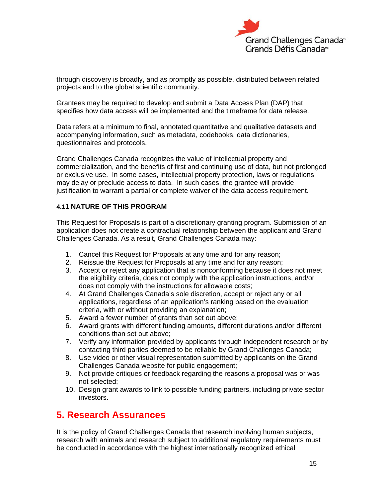

through discovery is broadly, and as promptly as possible, distributed between related projects and to the global scientific community.

Grantees may be required to develop and submit a Data Access Plan (DAP) that specifies how data access will be implemented and the timeframe for data release.

Data refers at a minimum to final, annotated quantitative and qualitative datasets and accompanying information, such as metadata, codebooks, data dictionaries, questionnaires and protocols.

Grand Challenges Canada recognizes the value of intellectual property and commercialization, and the benefits of first and continuing use of data, but not prolonged or exclusive use. In some cases, intellectual property protection, laws or regulations may delay or preclude access to data. In such cases, the grantee will provide justification to warrant a partial or complete waiver of the data access requirement.

#### **4.11 NATURE OF THIS PROGRAM**

This Request for Proposals is part of a discretionary granting program. Submission of an application does not create a contractual relationship between the applicant and Grand Challenges Canada. As a result, Grand Challenges Canada may:

- 1. Cancel this Request for Proposals at any time and for any reason;
- 2. Reissue the Request for Proposals at any time and for any reason;
- 3. Accept or reject any application that is nonconforming because it does not meet the eligibility criteria, does not comply with the application instructions, and/or does not comply with the instructions for allowable costs;
- 4. At Grand Challenges Canada's sole discretion, accept or reject any or all applications, regardless of an application's ranking based on the evaluation criteria, with or without providing an explanation;
- 5. Award a fewer number of grants than set out above;
- 6. Award grants with different funding amounts, different durations and/or different conditions than set out above;
- 7. Verify any information provided by applicants through independent research or by contacting third parties deemed to be reliable by Grand Challenges Canada;
- 8. Use video or other visual representation submitted by applicants on the Grand Challenges Canada website for public engagement;
- 9. Not provide critiques or feedback regarding the reasons a proposal was or was not selected;
- 10. Design grant awards to link to possible funding partners, including private sector investors.

### **5. Research Assurances**

It is the policy of Grand Challenges Canada that research involving human subjects, research with animals and research subject to additional regulatory requirements must be conducted in accordance with the highest internationally recognized ethical